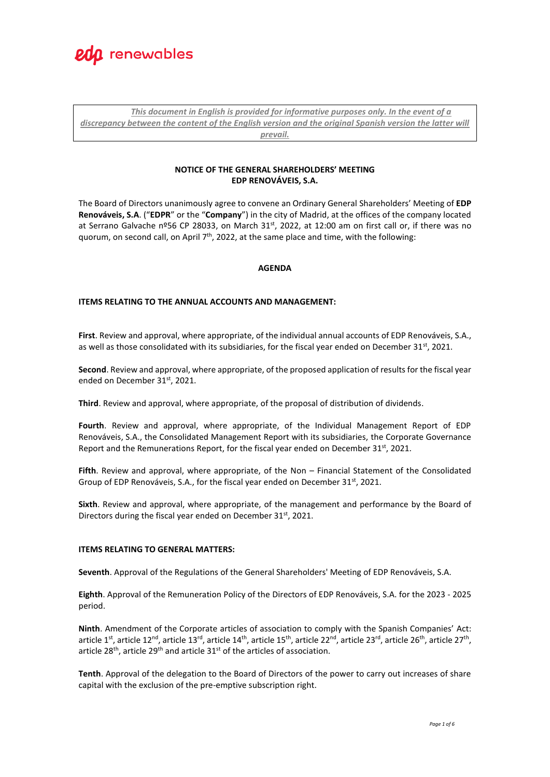

*This document in English is provided for informative purposes only. In the event of a discrepancy between the content of the English version and the original Spanish version the latter will prevail.*

# **NOTICE OF THE GENERAL SHAREHOLDERS' MEETING EDP RENOVÁVEIS, S.A.**

The Board of Directors unanimously agree to convene an Ordinary General Shareholders' Meeting of **EDP Renováveis, S.A**. ("**EDPR**" or the "**Company**") in the city of Madrid, at the offices of the company located at Serrano Galvache nº56 CP 28033, on March 31<sup>st</sup>, 2022, at 12:00 am on first call or, if there was no quorum, on second call, on April 7<sup>th</sup>, 2022, at the same place and time, with the following:

# **AGENDA**

# **ITEMS RELATING TO THE ANNUAL ACCOUNTS AND MANAGEMENT:**

**First**. Review and approval, where appropriate, of the individual annual accounts of EDP Renováveis, S.A., as well as those consolidated with its subsidiaries, for the fiscal year ended on December 31<sup>st</sup>, 2021.

**Second**. Review and approval, where appropriate, of the proposed application of results for the fiscal year ended on December 31st, 2021.

**Third**. Review and approval, where appropriate, of the proposal of distribution of dividends.

**Fourth**. Review and approval, where appropriate, of the Individual Management Report of EDP Renováveis, S.A., the Consolidated Management Report with its subsidiaries, the Corporate Governance Report and the Remunerations Report, for the fiscal year ended on December 31<sup>st</sup>, 2021.

**Fifth**. Review and approval, where appropriate, of the Non – Financial Statement of the Consolidated Group of EDP Renováveis, S.A., for the fiscal year ended on December 31<sup>st</sup>, 2021.

**Sixth**. Review and approval, where appropriate, of the management and performance by the Board of Directors during the fiscal year ended on December 31st, 2021.

# **ITEMS RELATING TO GENERAL MATTERS:**

**Seventh**. Approval of the Regulations of the General Shareholders' Meeting of EDP Renováveis, S.A.

**Eighth**. Approval of the Remuneration Policy of the Directors of EDP Renováveis, S.A. for the 2023 - 2025 period.

**Ninth**. Amendment of the Corporate articles of association to comply with the Spanish Companies' Act: article 1<sup>st</sup>, article 12<sup>nd</sup>, article 13<sup>rd</sup>, article 14<sup>th</sup>, article 15<sup>th</sup>, article 22<sup>nd</sup>, article 23<sup>rd</sup>, article 26<sup>th</sup>, article 27<sup>th</sup>, article 28<sup>th</sup>, article 29<sup>th</sup> and article 31<sup>st</sup> of the articles of association.

**Tenth**. Approval of the delegation to the Board of Directors of the power to carry out increases of share capital with the exclusion of the pre-emptive subscription right.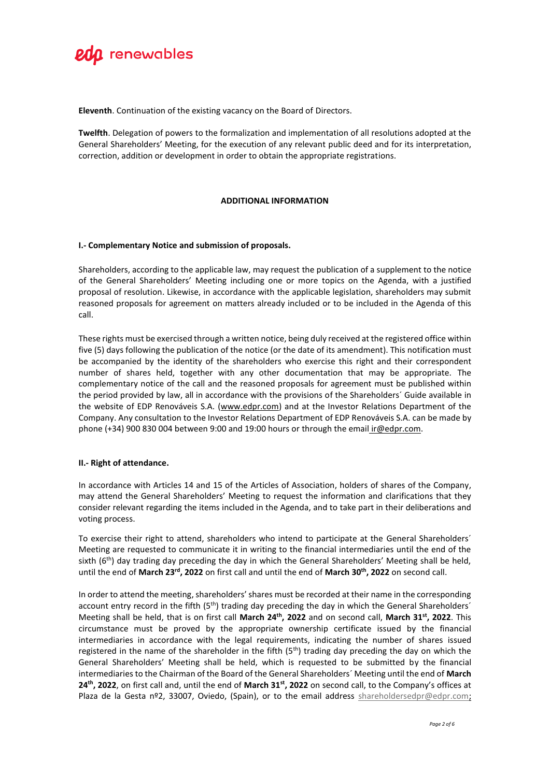

**Eleventh**. Continuation of the existing vacancy on the Board of Directors.

**Twelfth**. Delegation of powers to the formalization and implementation of all resolutions adopted at the General Shareholders' Meeting, for the execution of any relevant public deed and for its interpretation, correction, addition or development in order to obtain the appropriate registrations.

# **ADDITIONAL INFORMATION**

# **I.- Complementary Notice and submission of proposals.**

Shareholders, according to the applicable law, may request the publication of a supplement to the notice of the General Shareholders' Meeting including one or more topics on the Agenda, with a justified proposal of resolution. Likewise, in accordance with the applicable legislation, shareholders may submit reasoned proposals for agreement on matters already included or to be included in the Agenda of this call.

These rights must be exercised through a written notice, being duly received at the registered office within five (5) days following the publication of the notice (or the date of its amendment). This notification must be accompanied by the identity of the shareholders who exercise this right and their correspondent number of shares held, together with any other documentation that may be appropriate. The complementary notice of the call and the reasoned proposals for agreement must be published within the period provided by law, all in accordance with the provisions of the Shareholders´ Guide available in the website of EDP Renováveis S.A. [\(www.edpr.com\)](http://www.edprenovaveis.com/) and at the Investor Relations Department of the Company. Any consultation to the Investor Relations Department of EDP Renováveis S.A. can be made by phone (+34) 900 830 004 between 9:00 and 19:00 hours or through the email [ir@edpr.com.](mailto:ir@edpr.com)

#### **II.- Right of attendance.**

In accordance with Articles 14 and 15 of the Articles of Association, holders of shares of the Company, may attend the General Shareholders' Meeting to request the information and clarifications that they consider relevant regarding the items included in the Agenda, and to take part in their deliberations and voting process.

To exercise their right to attend, shareholders who intend to participate at the General Shareholders´ Meeting are requested to communicate it in writing to the financial intermediaries until the end of the sixth ( $6<sup>th</sup>$ ) day trading day preceding the day in which the General Shareholders' Meeting shall be held, until the end of **March 23rd , 2022** on first call and until the end of **March 30th , 2022** on second call.

In order to attend the meeting, shareholders' shares must be recorded at their name in the corresponding account entry record in the fifth  $(5<sup>th</sup>)$  trading day preceding the day in which the General Shareholders<sup>'</sup> Meeting shall be held, that is on first call **March 24th, 2022** and on second call, **March 31st, 2022**. This circumstance must be proved by the appropriate ownership certificate issued by the financial intermediaries in accordance with the legal requirements, indicating the number of shares issued registered in the name of the shareholder in the fifth (5<sup>th</sup>) trading day preceding the day on which the General Shareholders' Meeting shall be held, which is requested to be submitted by the financial intermediaries to the Chairman of the Board of the General Shareholders´ Meeting until the end of **March 24th, 2022**, on first call and, until the end of **March 31st, 2022** on second call, to the Company's offices at Plaza de la Gesta nº2, 33007, Oviedo, (Spain), or to the email address [shareholdersedpr@edpr.com;](mailto:shareholdersedpr@edpr.com)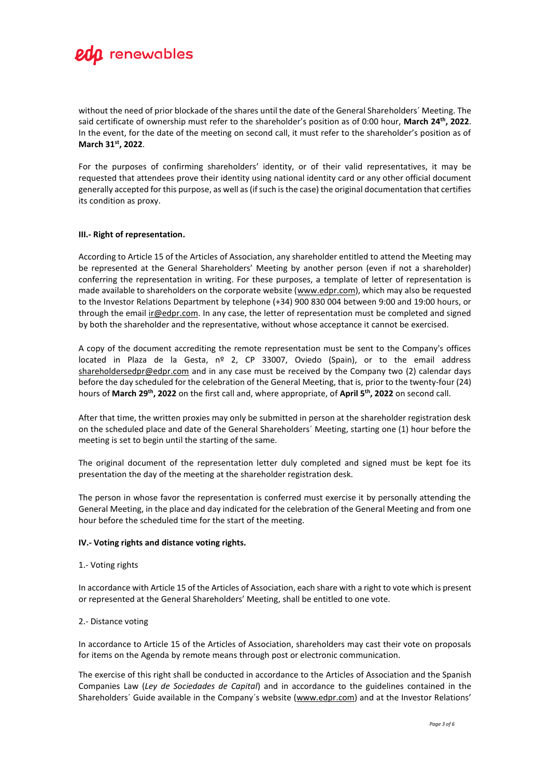

without the need of prior blockade of the shares until the date of the General Shareholders´ Meeting. The said certificate of ownership must refer to the shareholder's position as of 0:00 hour, **March 24th, 2022**. In the event, for the date of the meeting on second call, it must refer to the shareholder's position as of **March 31st, 2022**.

For the purposes of confirming shareholders' identity, or of their valid representatives, it may be requested that attendees prove their identity using national identity card or any other official document generally accepted for this purpose, as well as (if such is the case) the original documentation that certifies its condition as proxy.

#### **III.- Right of representation.**

According to Article 15 of the Articles of Association, any shareholder entitled to attend the Meeting may be represented at the General Shareholders' Meeting by another person (even if not a shareholder) conferring the representation in writing. For these purposes, a template of letter of representation is made available to shareholders on the corporate website (www.edpr.com), which may also be requested to the Investor Relations Department by telephone (+34) 900 830 004 between 9:00 and 19:00 hours, or through the email ir@edpr.com. In any case, the letter of representation must be completed and signed by both the shareholder and the representative, without whose acceptance it cannot be exercised.

A copy of the document accrediting the remote representation must be sent to the Company's offices located in Plaza de la Gesta,  $n^2$  2, CP 33007, Oviedo (Spain), or to the email address shareholdersedpr@edpr.com and in any case must be received by the Company two (2) calendar days before the day scheduled for the celebration of the General Meeting, that is, prior to the twenty-four (24) hours of **March 29th, 2022** on the first call and, where appropriate, of **April 5th, 2022** on second call.

After that time, the written proxies may only be submitted in person at the shareholder registration desk on the scheduled place and date of the General Shareholders´ Meeting, starting one (1) hour before the meeting is set to begin until the starting of the same.

The original document of the representation letter duly completed and signed must be kept foe its presentation the day of the meeting at the shareholder registration desk.

The person in whose favor the representation is conferred must exercise it by personally attending the General Meeting, in the place and day indicated for the celebration of the General Meeting and from one hour before the scheduled time for the start of the meeting.

#### **IV.- Voting rights and distance voting rights.**

#### 1.- Voting rights

In accordance with Article 15 of the Articles of Association, each share with a right to vote which is present or represented at the General Shareholders' Meeting, shall be entitled to one vote.

#### 2.- Distance voting

In accordance to Article 15 of the Articles of Association, shareholders may cast their vote on proposals for items on the Agenda by remote means through post or electronic communication.

The exercise of this right shall be conducted in accordance to the Articles of Association and the Spanish Companies Law (*Ley de Sociedades de Capital*) and in accordance to the guidelines contained in the Shareholders´ Guide available in the Company´s website (www.edpr.com) and at the Investor Relations'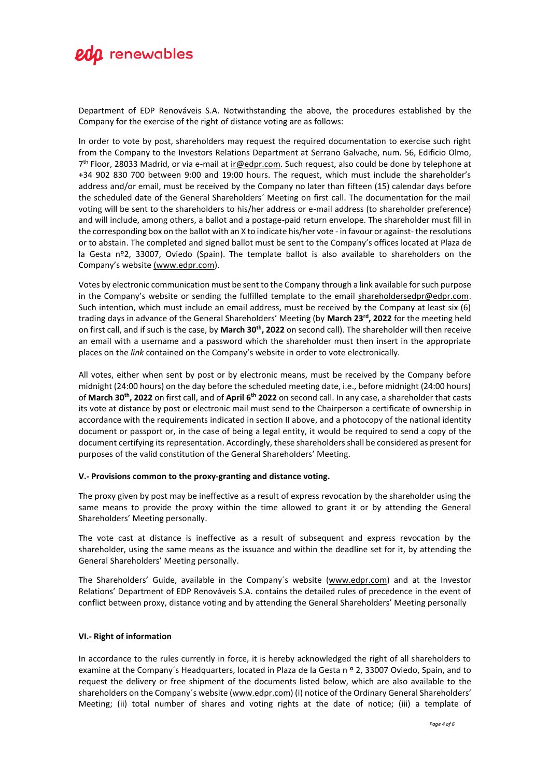

Department of EDP Renováveis S.A. Notwithstanding the above, the procedures established by the Company for the exercise of the right of distance voting are as follows:

In order to vote by post, shareholders may request the required documentation to exercise such right from the Company to the Investors Relations Department at Serrano Galvache, num. 56, Edificio Olmo, 7<sup>th</sup> Floor, 28033 Madrid, or via e-mail at *ir@edpr.com*. Such request, also could be done by telephone at +34 902 830 700 between 9:00 and 19:00 hours. The request, which must include the shareholder's address and/or email, must be received by the Company no later than fifteen (15) calendar days before the scheduled date of the General Shareholders´ Meeting on first call. The documentation for the mail voting will be sent to the shareholders to his/her address or e-mail address (to shareholder preference) and will include, among others, a ballot and a postage-paid return envelope. The shareholder must fill in the corresponding box on the ballot with an X to indicate his/her vote - in favour or against-the resolutions or to abstain. The completed and signed ballot must be sent to the Company's offices located at Plaza de la Gesta nº2, 33007, Oviedo (Spain). The template ballot is also available to shareholders on the Company's website (www.edpr.com).

Votes by electronic communication must be sent to the Company through a link available for such purpose in the Company's website or sending the fulfilled template to the email shareholdersedpr@edpr.com. Such intention, which must include an email address, must be received by the Company at least six (6) trading days in advance of the General Shareholders' Meeting (by March 23<sup>rd</sup>, 2022 for the meeting held on first call, and if such is the case, by **March 30th, 2022** on second call). The shareholder will then receive an email with a username and a password which the shareholder must then insert in the appropriate places on the *link* contained on the Company's website in order to vote electronically.

All votes, either when sent by post or by electronic means, must be received by the Company before midnight (24:00 hours) on the day before the scheduled meeting date, i.e., before midnight (24:00 hours) of **March 30th , 2022** on first call, and of **April 6th 2022** on second call. In any case, a shareholder that casts its vote at distance by post or electronic mail must send to the Chairperson a certificate of ownership in accordance with the requirements indicated in section II above, and a photocopy of the national identity document or passport or, in the case of being a legal entity, it would be required to send a copy of the document certifying its representation. Accordingly, these shareholders shall be considered as present for purposes of the valid constitution of the General Shareholders' Meeting.

#### **V.- Provisions common to the proxy-granting and distance voting.**

The proxy given by post may be ineffective as a result of express revocation by the shareholder using the same means to provide the proxy within the time allowed to grant it or by attending the General Shareholders' Meeting personally.

The vote cast at distance is ineffective as a result of subsequent and express revocation by the shareholder, using the same means as the issuance and within the deadline set for it, by attending the General Shareholders' Meeting personally.

The Shareholders' Guide, available in the Company's website (www.edpr.com) and at the Investor Relations' Department of EDP Renováveis S.A. contains the detailed rules of precedence in the event of conflict between proxy, distance voting and by attending the General Shareholders' Meeting personally

#### **VI.- Right of information**

In accordance to the rules currently in force, it is hereby acknowledged the right of all shareholders to examine at the Company's Headquarters, located in Plaza de la Gesta n º 2, 33007 Oviedo, Spain, and to request the delivery or free shipment of the documents listed below, which are also available to the shareholders on the Company´s website (www.edpr.com) (i) notice of the Ordinary General Shareholders' Meeting; (ii) total number of shares and voting rights at the date of notice; (iii) a template of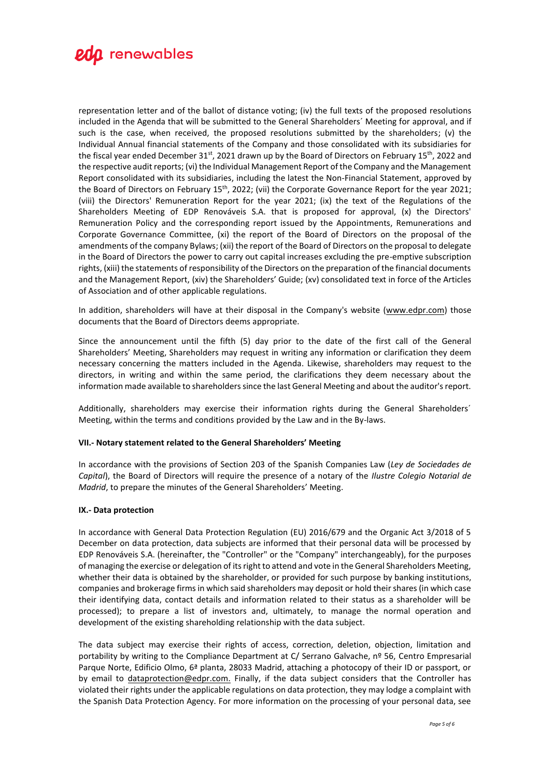

representation letter and of the ballot of distance voting; (iv) the full texts of the proposed resolutions included in the Agenda that will be submitted to the General Shareholders´ Meeting for approval, and if such is the case, when received, the proposed resolutions submitted by the shareholders; (v) the Individual Annual financial statements of the Company and those consolidated with its subsidiaries for the fiscal year ended December 31<sup>st</sup>, 2021 drawn up by the Board of Directors on February 15<sup>th</sup>, 2022 and the respective audit reports; (vi) the Individual Management Report of the Company and the Management Report consolidated with its subsidiaries, including the latest the Non-Financial Statement, approved by the Board of Directors on February 15<sup>th</sup>, 2022; (vii) the Corporate Governance Report for the year 2021; (viii) the Directors' Remuneration Report for the year 2021; (ix) the text of the Regulations of the Shareholders Meeting of EDP Renováveis S.A. that is proposed for approval, (x) the Directors' Remuneration Policy and the corresponding report issued by the Appointments, Remunerations and Corporate Governance Committee, (xi) the report of the Board of Directors on the proposal of the amendments of the company Bylaws; (xii) the report of the Board of Directors on the proposal to delegate in the Board of Directors the power to carry out capital increases excluding the pre-emptive subscription rights, (xiii) the statements of responsibility of the Directors on the preparation of the financial documents and the Management Report, (xiv) the Shareholders' Guide; (xv) consolidated text in force of the Articles of Association and of other applicable regulations.

In addition, shareholders will have at their disposal in the Company's website (www.edpr.com) those documents that the Board of Directors deems appropriate.

Since the announcement until the fifth (5) day prior to the date of the first call of the General Shareholders' Meeting, Shareholders may request in writing any information or clarification they deem necessary concerning the matters included in the Agenda. Likewise, shareholders may request to the directors, in writing and within the same period, the clarifications they deem necessary about the information made available to shareholders since the last General Meeting and about the auditor's report.

Additionally, shareholders may exercise their information rights during the General Shareholders´ Meeting, within the terms and conditions provided by the Law and in the By-laws.

#### **VII.- Notary statement related to the General Shareholders' Meeting**

In accordance with the provisions of Section 203 of the Spanish Companies Law (*Ley de Sociedades de Capital*), the Board of Directors will require the presence of a notary of the *Ilustre Colegio Notarial de Madrid*, to prepare the minutes of the General Shareholders' Meeting.

#### **IX.- Data protection**

In accordance with General Data Protection Regulation (EU) 2016/679 and the Organic Act 3/2018 of 5 December on data protection, data subjects are informed that their personal data will be processed by EDP Renováveis S.A. (hereinafter, the "Controller" or the "Company" interchangeably), for the purposes of managing the exercise or delegation of its right to attend and vote in the General Shareholders Meeting, whether their data is obtained by the shareholder, or provided for such purpose by banking institutions, companies and brokerage firms in which said shareholders may deposit or hold their shares (in which case their identifying data, contact details and information related to their status as a shareholder will be processed); to prepare a list of investors and, ultimately, to manage the normal operation and development of the existing shareholding relationship with the data subject.

The data subject may exercise their rights of access, correction, deletion, objection, limitation and portability by writing to the Compliance Department at C/ Serrano Galvache, nº 56, Centro Empresarial Parque Norte, Edificio Olmo, 6ª planta, 28033 Madrid, attaching a photocopy of their ID or passport, or by email to dataprotection@edpr.com. Finally, if the data subject considers that the Controller has violated their rights under the applicable regulations on data protection, they may lodge a complaint with the Spanish Data Protection Agency. For more information on the processing of your personal data, see